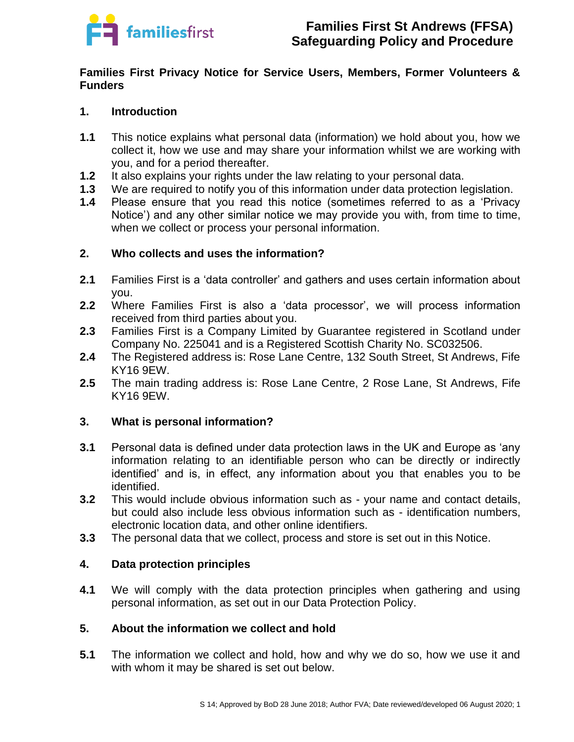

### **Families First Privacy Notice for Service Users, Members, Former Volunteers & Funders**

# **1. Introduction**

- **1.1** This notice explains what personal data (information) we hold about you, how we collect it, how we use and may share your information whilst we are working with you, and for a period thereafter.
- **1.2** It also explains your rights under the law relating to your personal data.
- **1.3** We are required to notify you of this information under data protection legislation.
- **1.4** Please ensure that you read this notice (sometimes referred to as a 'Privacy Notice') and any other similar notice we may provide you with, from time to time, when we collect or process your personal information.

# **2. Who collects and uses the information?**

- **2.1** Families First is a 'data controller' and gathers and uses certain information about you.
- **2.2** Where Families First is also a 'data processor', we will process information received from third parties about you.
- **2.3** Families First is a Company Limited by Guarantee registered in Scotland under Company No. 225041 and is a Registered Scottish Charity No. SC032506.
- **2.4** The Registered address is: Rose Lane Centre, 132 South Street, St Andrews, Fife KY16 9EW.
- **2.5** The main trading address is: Rose Lane Centre, 2 Rose Lane, St Andrews, Fife KY16 9EW.

# **3. What is personal information?**

- **3.1** Personal data is defined under data protection laws in the UK and Europe as 'any information relating to an identifiable person who can be directly or indirectly identified' and is, in effect, any information about you that enables you to be identified.
- **3.2** This would include obvious information such as your name and contact details, but could also include less obvious information such as - identification numbers, electronic location data, and other online identifiers.
- **3.3** The personal data that we collect, process and store is set out in this Notice.

# **4. Data protection principles**

**4.1** We will comply with the data protection principles when gathering and using personal information, as set out in our Data Protection Policy.

# **5. About the information we collect and hold**

**5.1** The information we collect and hold, how and why we do so, how we use it and with whom it may be shared is set out below.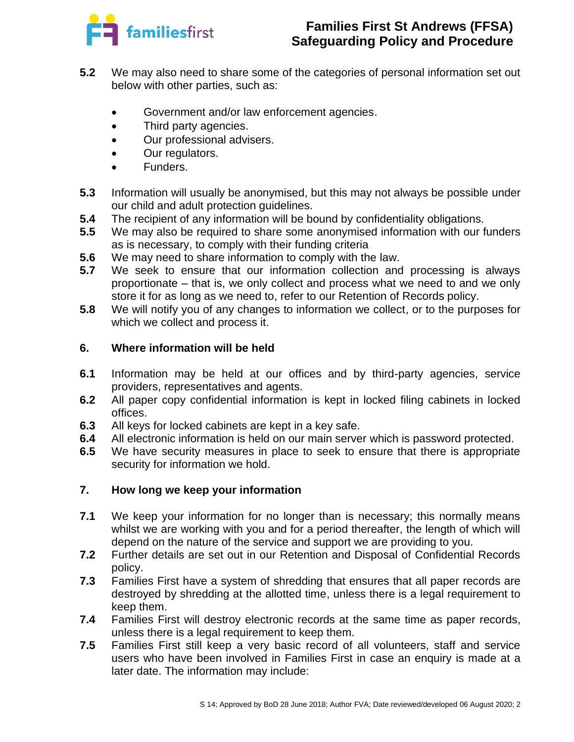

# **Families First St Andrews (FFSA) Safeguarding Policy and Procedure**

- **5.2** We may also need to share some of the categories of personal information set out below with other parties, such as:
	- Government and/or law enforcement agencies.
	- Third party agencies.
	- Our professional advisers.
	- Our regulators.
	- Funders.
- **5.3** Information will usually be anonymised, but this may not always be possible under our child and adult protection guidelines.
- **5.4** The recipient of any information will be bound by confidentiality obligations.
- **5.5** We may also be required to share some anonymised information with our funders as is necessary, to comply with their funding criteria
- **5.6** We may need to share information to comply with the law.
- **5.7** We seek to ensure that our information collection and processing is always proportionate – that is, we only collect and process what we need to and we only store it for as long as we need to, refer to our Retention of Records policy.
- **5.8** We will notify you of any changes to information we collect, or to the purposes for which we collect and process it.

# **6. Where information will be held**

- **6.1** Information may be held at our offices and by third-party agencies, service providers, representatives and agents.
- **6.2** All paper copy confidential information is kept in locked filing cabinets in locked offices.
- **6.3** All keys for locked cabinets are kept in a key safe.
- **6.4** All electronic information is held on our main server which is password protected.
- **6.5** We have security measures in place to seek to ensure that there is appropriate security for information we hold.

# **7. How long we keep your information**

- **7.1** We keep your information for no longer than is necessary; this normally means whilst we are working with you and for a period thereafter, the length of which will depend on the nature of the service and support we are providing to you.
- **7.2** Further details are set out in our Retention and Disposal of Confidential Records policy.
- **7.3** Families First have a system of shredding that ensures that all paper records are destroyed by shredding at the allotted time, unless there is a legal requirement to keep them.
- **7.4** Families First will destroy electronic records at the same time as paper records, unless there is a legal requirement to keep them.
- **7.5** Families First still keep a very basic record of all volunteers, staff and service users who have been involved in Families First in case an enquiry is made at a later date. The information may include: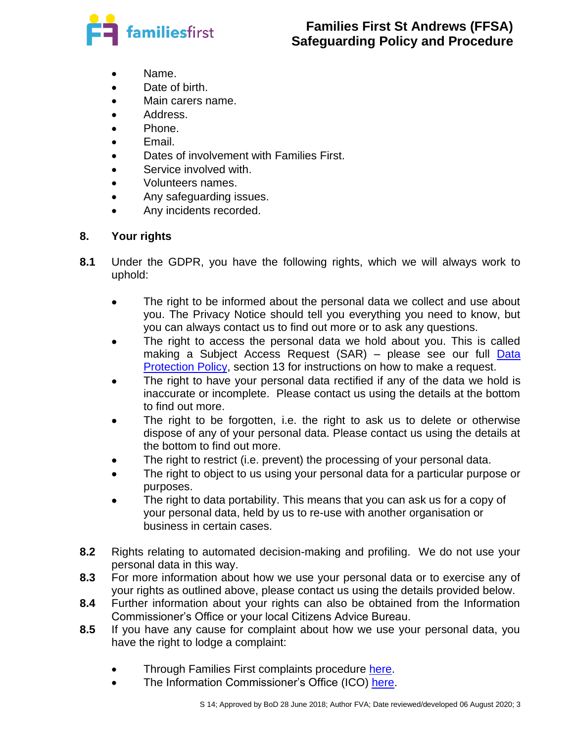

- Name.
- Date of birth.
- Main carers name.
- Address.
- Phone.
- Email.
- Dates of involvement with Families First.
- Service involved with.
- Volunteers names.
- Any safeguarding issues.
- Any incidents recorded.

# **8. Your rights**

- **8.1** Under the GDPR, you have the following rights, which we will always work to uphold:
	- The right to be informed about the personal data we collect and use about you. The Privacy Notice should tell you everything you need to know, but you can always contact us to find out more or to ask any questions.
	- The right to access the personal data we hold about you. This is called making a Subject Access Request (SAR) – please see our full Data [Protection Policy,](https://familiesfirststandrews.wpcomstaging.com/families-first-policies/) section 13 for instructions on how to make a request.
	- The right to have your personal data rectified if any of the data we hold is inaccurate or incomplete. Please contact us using the details at the bottom to find out more.
	- The right to be forgotten, i.e. the right to ask us to delete or otherwise dispose of any of your personal data. Please contact us using the details at the bottom to find out more.
	- The right to restrict (i.e. prevent) the processing of your personal data.
	- The right to object to us using your personal data for a particular purpose or purposes.
	- The right to data portability. This means that you can ask us for a copy of your personal data, held by us to re-use with another organisation or business in certain cases.
- **8.2** Rights relating to automated decision-making and profiling. We do not use your personal data in this way.
- **8.3** For more information about how we use your personal data or to exercise any of your rights as outlined above, please contact us using the details provided below.
- **8.4** Further information about your rights can also be obtained from the Information Commissioner's Office or your local Citizens Advice Bureau.
- **8.5** If you have any cause for complaint about how we use your personal data, you have the right to lodge a complaint:
	- Through Families First complaints procedure [here.](http://www.familiesfirststandrews.org.uk/Index.asp?MainID=17593)
	- The Information Commissioner's Office (ICO) [here.](https://ico.org.uk/)